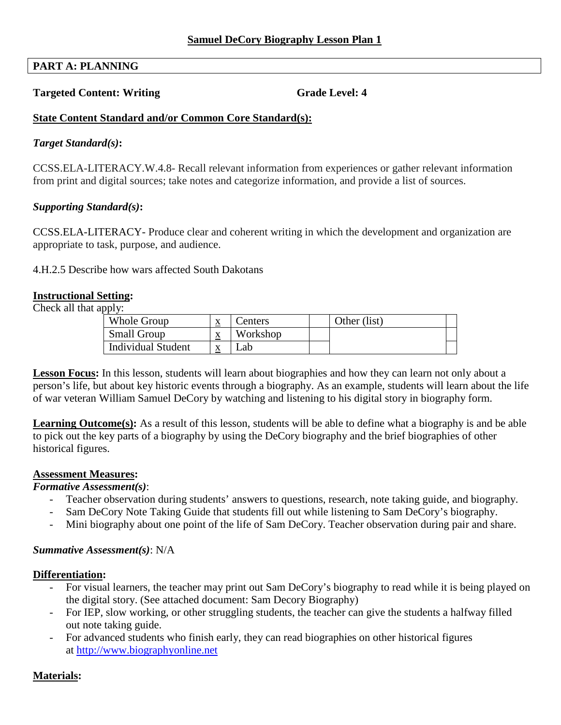# **PART A: PLANNING**

### **Targeted Content: Writing Grade Level: 4 Grade Level: 4**

### **State Content Standard and/or Common Core Standard(s):**

### *Target Standard(s)***:**

CCSS.ELA-LITERACY.W.4.8- Recall relevant information from experiences or gather relevant information from print and digital sources; take notes and categorize information, and provide a list of sources.

### *Supporting Standard(s)***:**

CCSS.ELA-LITERACY- Produce clear and coherent writing in which the development and organization are appropriate to task, purpose, and audience.

4.H.2.5 Describe how wars affected South Dakotans

### **Instructional Setting:**

Check all that apply:

| Workshop<br><b>Small Group</b><br>$\mathbf{v}$<br>$\Delta$<br><b>Individual Student</b><br>∟ab<br>$\mathbf{v}$<br>▵ | Whole Group | $\Delta$ | Centers | Other (list) |  |
|---------------------------------------------------------------------------------------------------------------------|-------------|----------|---------|--------------|--|
|                                                                                                                     |             |          |         |              |  |
|                                                                                                                     |             |          |         |              |  |

**Lesson Focus:** In this lesson, students will learn about biographies and how they can learn not only about a person's life, but about key historic events through a biography. As an example, students will learn about the life of war veteran William Samuel DeCory by watching and listening to his digital story in biography form.

**Learning Outcome(s):** As a result of this lesson, students will be able to define what a biography is and be able to pick out the key parts of a biography by using the DeCory biography and the brief biographies of other historical figures.

#### **Assessment Measures:**

### *Formative Assessment(s)*:

- Teacher observation during students' answers to questions, research, note taking guide, and biography.
- Sam DeCory Note Taking Guide that students fill out while listening to Sam DeCory's biography.
- Mini biography about one point of the life of Sam DeCory. Teacher observation during pair and share.

### *Summative Assessment(s)*: N/A

#### **Differentiation:**

- For visual learners, the teacher may print out Sam DeCory's biography to read while it is being played on the digital story. (See attached document: Sam Decory Biography)
- out note taking guide. - For IEP, slow working, or other struggling students, the teacher can give the students a halfway filled
- at http://www.biographyonline.net - For advanced students who finish early, they can read biographies on other historical figures

### **Materials:**